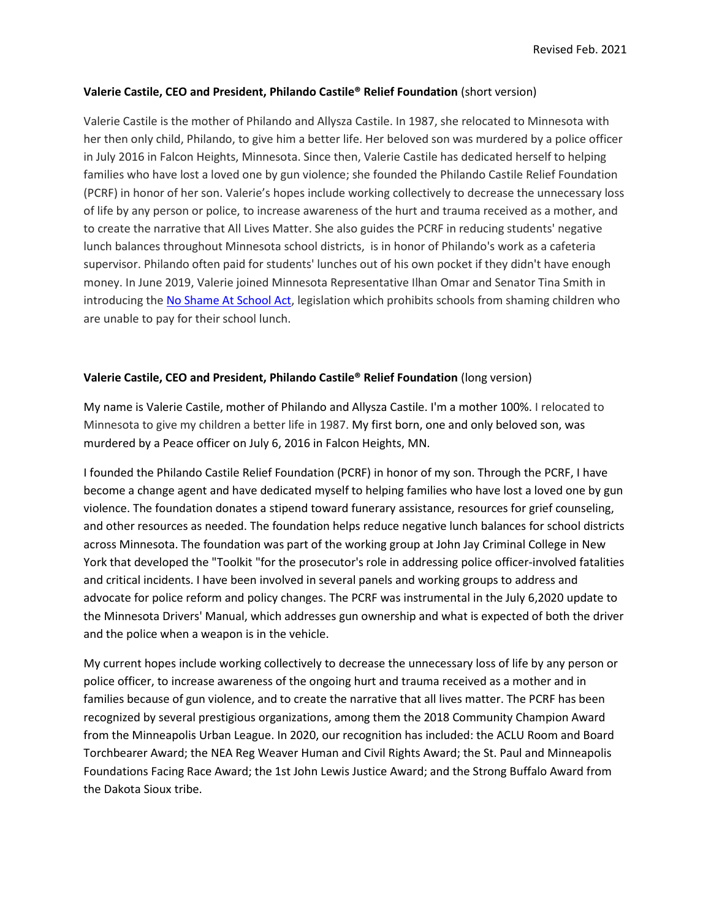## **Valerie Castile, CEO and President, Philando Castile® Relief Foundation** (short version)

Valerie Castile is the mother of Philando and Allysza Castile. In 1987, she relocated to Minnesota with her then only child, Philando, to give him a better life. Her beloved son was murdered by a police officer in July 2016 in Falcon Heights, Minnesota. Since then, Valerie Castile has dedicated herself to helping families who have lost a loved one by gun violence; she founded the Philando Castile Relief Foundation (PCRF) in honor of her son. Valerie's hopes include working collectively to decrease the unnecessary loss of life by any person or police, to increase awareness of the hurt and trauma received as a mother, and to create the narrative that All Lives Matter. She also guides the PCRF in reducing students' negative lunch balances throughout Minnesota school districts, is in honor of Philando's work as a cafeteria supervisor. Philando often paid for students' lunches out of his own pocket if they didn't have enough money. In June 2019, Valerie joined Minnesota Representative Ilhan Omar and Senator Tina Smith in introducing the [No Shame At School Act,](https://www.startribune.com/rep-ilhan-omar-valerie-castile-call-for-federal-ban-on-school-lunch-shaming/511515072/) legislation which prohibits schools from shaming children who are unable to pay for their school lunch.

## **Valerie Castile, CEO and President, Philando Castile® Relief Foundation** (long version)

My name is Valerie Castile, mother of Philando and Allysza Castile. I'm a mother 100%. I relocated to Minnesota to give my children a better life in 1987. My first born, one and only beloved son, was murdered by a Peace officer on July 6, 2016 in Falcon Heights, MN.

I founded the Philando Castile Relief Foundation (PCRF) in honor of my son. Through the PCRF, I have become a change agent and have dedicated myself to helping families who have lost a loved one by gun violence. The foundation donates a stipend toward funerary assistance, resources for grief counseling, and other resources as needed. The foundation helps reduce negative lunch balances for school districts across Minnesota. The foundation was part of the working group at John Jay Criminal College in New York that developed the "Toolkit "for the prosecutor's role in addressing police officer-involved fatalities and critical incidents. I have been involved in several panels and working groups to address and advocate for police reform and policy changes. The PCRF was instrumental in the July 6,2020 update to the Minnesota Drivers' Manual, which addresses gun ownership and what is expected of both the driver and the police when a weapon is in the vehicle.

My current hopes include working collectively to decrease the unnecessary loss of life by any person or police officer, to increase awareness of the ongoing hurt and trauma received as a mother and in families because of gun violence, and to create the narrative that all lives matter. The PCRF has been recognized by several prestigious organizations, among them the 2018 Community Champion Award from the Minneapolis Urban League. In 2020, our recognition has included: the ACLU Room and Board Torchbearer Award; the NEA Reg Weaver Human and Civil Rights Award; the St. Paul and Minneapolis Foundations Facing Race Award; the 1st John Lewis Justice Award; and the Strong Buffalo Award from the Dakota Sioux tribe.